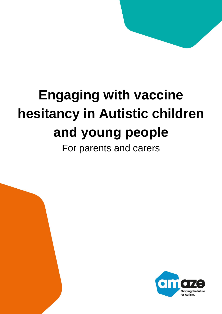# **Engaging with vaccine hesitancy in Autistic children and young people**



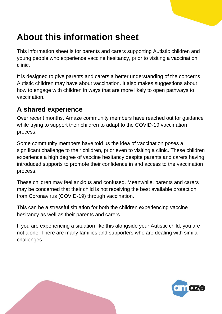# **About this information sheet**

This information sheet is for parents and carers supporting Autistic children and young people who experience vaccine hesitancy, prior to visiting a vaccination clinic.

It is designed to give parents and carers a better understanding of the concerns Autistic children may have about vaccination. It also makes suggestions about how to engage with children in ways that are more likely to open pathways to vaccination.

#### **A shared experience**

Over recent months, Amaze community members have reached out for guidance while trying to support their children to adapt to the COVID-19 vaccination process.

Some community members have told us the idea of vaccination poses a significant challenge to their children, prior even to visiting a clinic. These children experience a high degree of vaccine hesitancy despite parents and carers having introduced supports to promote their confidence in and access to the vaccination process.

These children may feel anxious and confused. Meanwhile, parents and carers may be concerned that their child is not receiving the best available protection from Coronavirus (COVID-19) through vaccination.

This can be a stressful situation for both the children experiencing vaccine hesitancy as well as their parents and carers.

If you are experiencing a situation like this alongside your Autistic child, you are not alone. There are many families and supporters who are dealing with similar challenges.

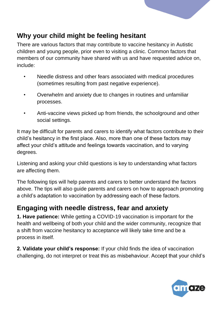

#### **Why your child might be feeling hesitant**

There are various factors that may contribute to vaccine hesitancy in Autistic children and young people, prior even to visiting a clinic. Common factors that members of our community have shared with us and have requested advice on, include:

- Needle distress and other fears associated with medical procedures (sometimes resulting from past negative experience).
- Overwhelm and anxiety due to changes in routines and unfamiliar processes.
- Anti-vaccine views picked up from friends, the schoolground and other social settings.

It may be difficult for parents and carers to identify what factors contribute to their child's hesitancy in the first place. Also, more than one of these factors may affect your child's attitude and feelings towards vaccination, and to varying degrees.

Listening and asking your child questions is key to understanding what factors are affecting them.

The following tips will help parents and carers to better understand the factors above. The tips will also guide parents and carers on how to approach promoting a child's adaptation to vaccination by addressing each of these factors.

#### **Engaging with needle distress, fear and anxiety**

**1. Have patience:** While getting a COVID-19 vaccination is important for the health and wellbeing of both your child and the wider community, recognize that a shift from vaccine hesitancy to acceptance will likely take time and be a process in itself.

**2. Validate your child's response:** If your child finds the idea of vaccination challenging, do not interpret or treat this as misbehaviour. Accept that your child's

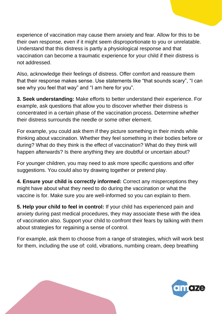experience of vaccination may cause them anxiety and fear. Allow for this to be their own response, even if it might seem disproportionate to you or unrelatable. Understand that this distress is partly a physiological response and that vaccination can become a traumatic experience for your child if their distress is not addressed.

Also, acknowledge their feelings of distress. Offer comfort and reassure them that their response makes sense. Use statements like "that sounds scary", "I can see why you feel that way" and "I am here for you".

**3. Seek understanding:** Make efforts to better understand their experience. For example, ask questions that allow you to discover whether their distress is concentrated in a certain phase of the vaccination process. Determine whether their distress surrounds the needle or some other element.

For example, you could ask them if they picture something in their minds while thinking about vaccination. Whether they feel something in their bodies before or during? What do they think is the effect of vaccination? What do they think will happen afterwards? Is there anything they are doubtful or uncertain about?

For younger children, you may need to ask more specific questions and offer suggestions. You could also try drawing together or pretend play.

**4. Ensure your child is correctly informed:** Correct any misperceptions they might have about what they need to do during the vaccination or what the vaccine is for. Make sure you are well-informed so you can explain to them.

**5. Help your child to feel in control:** If your child has experienced pain and anxiety during past medical procedures, they may associate these with the idea of vaccination also. Support your child to confront their fears by talking with them about strategies for regaining a sense of control.

For example, ask them to choose from a range of strategies, which will work best for them, including the use of: cold, vibrations, numbing cream, deep breathing

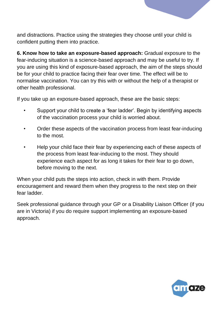

**6. Know how to take an exposure-based approach:** Gradual exposure to the fear-inducing situation is a science-based approach and may be useful to try. If you are using this kind of exposure-based approach, the aim of the steps should be for your child to practice facing their fear over time. The effect will be to normalise vaccination. You can try this with or without the help of a therapist or other health professional.

If you take up an exposure-based approach, these are the basic steps:

- Support your child to create a 'fear ladder'. Begin by identifying aspects of the vaccination process your child is worried about.
- Order these aspects of the vaccination process from least fear-inducing to the most.
- Help your child face their fear by experiencing each of these aspects of the process from least fear-inducing to the most. They should experience each aspect for as long it takes for their fear to go down, before moving to the next.

When your child puts the steps into action, check in with them. Provide encouragement and reward them when they progress to the next step on their fear ladder.

Seek professional guidance through your GP or a Disability Liaison Officer (if you are in Victoria) if you do require support implementing an exposure-based approach.

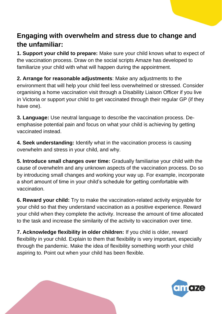#### **Engaging with overwhelm and stress due to change and the unfamiliar:**

**1. Support your child to prepare:** Make sure your child knows what to expect of the vaccination process. Draw on the social scripts Amaze has developed to familiarize your child with what will happen during the appointment.

**2. Arrange for reasonable adjustments**: Make any adjustments to the environment that will help your child feel less overwhelmed or stressed. Consider organising a home vaccination visit through a Disability Liaison Officer if you live in Victoria or support your child to get vaccinated through their regular GP (if they have one).

**3. Language:** Use neutral language to describe the vaccination process. Deemphasise potential pain and focus on what your child is achieving by getting vaccinated instead.

**4. Seek understanding:** Identify what in the vaccination process is causing overwhelm and stress in your child, and why.

**5. Introduce small changes over time:** Gradually familiarise your child with the cause of overwhelm and any unknown aspects of the vaccination process. Do so by introducing small changes and working your way up. For example, incorporate a short amount of time in your child's schedule for getting comfortable with vaccination.

**6. Reward your child:** Try to make the vaccination-related activity enjoyable for your child so that they understand vaccination as a positive experience. Reward your child when they complete the activity. Increase the amount of time allocated to the task and increase the similarity of the activity to vaccination over time.

**7. Acknowledge flexibility in older children:** If you child is older, reward flexibility in your child. Explain to them that flexibility is very important, especially through the pandemic. Make the idea of flexibility something worth your child aspiring to. Point out when your child has been flexible.

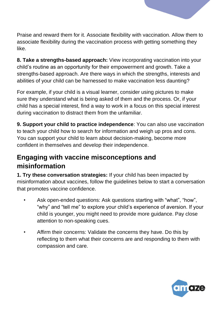

Praise and reward them for it. Associate flexibility with vaccination. Allow them to associate flexibility during the vaccination process with getting something they like.

**8. Take a strengths-based approach:** View incorporating vaccination into your child's routine as an opportunity for their empowerment and growth. Take a strengths-based approach. Are there ways in which the strengths, interests and abilities of your child can be harnessed to make vaccination less daunting?

For example, if your child is a visual learner, consider using pictures to make sure they understand what is being asked of them and the process. Or, if your child has a special interest, find a way to work in a focus on this special interest during vaccination to distract them from the unfamiliar.

**9. Support your child to practice independence**: You can also use vaccination to teach your child how to search for information and weigh up pros and cons. You can support your child to learn about decision-making, become more confident in themselves and develop their independence.

#### **Engaging with vaccine misconceptions and misinformation**

**1. Try these conversation strategies:** If your child has been impacted by misinformation about vaccines, follow the guidelines below to start a conversation that promotes vaccine confidence.

- Ask open-ended questions: Ask questions starting with "what", "how", "why" and "tell me" to explore your child's experience of aversion. If your child is younger, you might need to provide more guidance. Pay close attention to non-speaking cues.
- Affirm their concerns: Validate the concerns they have. Do this by reflecting to them what their concerns are and responding to them with compassion and care.

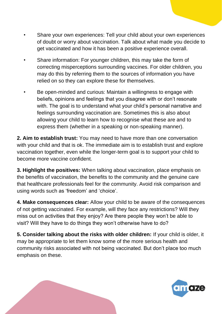- Share your own experiences: Tell your child about your own experiences of doubt or worry about vaccination. Talk about what made you decide to get vaccinated and how it has been a positive experience overall.
- Share information: For younger children, this may take the form of correcting misperceptions surrounding vaccines. For older children, you may do this by referring them to the sources of information you have relied on so they can explore these for themselves.
- Be open-minded and curious: Maintain a willingness to engage with beliefs, opinions and feelings that you disagree with or don't resonate with. The goal is to understand what your child's personal narrative and feelings surrounding vaccination are. Sometimes this is also about allowing your child to learn how to recognise what these are and to express them (whether in a speaking or non-speaking manner).

**2. Aim to establish trust:** You may need to have more than one conversation with your child and that is ok. The immediate aim is to establish trust and explore vaccination together, even while the longer-term goal is to support your child to become more vaccine confident.

**3. Highlight the positives:** When talking about vaccination, place emphasis on the benefits of vaccination, the benefits to the community and the genuine care that healthcare professionals feel for the community. Avoid risk comparison and using words such as 'freedom' and 'choice'.

**4. Make consequences clear:** Allow your child to be aware of the consequences of not getting vaccinated. For example, will they face any restrictions? Will they miss out on activities that they enjoy? Are there people they won't be able to visit? Will they have to do things they won't otherwise have to do?

**5. Consider talking about the risks with older children:** If your child is older, it may be appropriate to let them know some of the more serious health and community risks associated with not being vaccinated. But don't place too much emphasis on these.

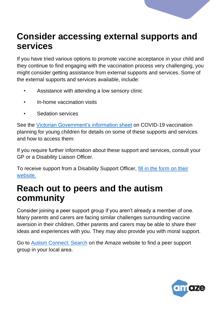## **Consider accessing external supports and services**

If you have tried various options to promote vaccine acceptance in your child and they continue to find engaging with the vaccination process very challenging, you might consider getting assistance from external supports and services. Some of the external supports and services available, include:

- Assistance with attending a low sensory clinic
- In-home vaccination visits
- Sedation services

See the [Victorian Government's information sheet](https://www.coronavirus.vic.gov.au/sites/default/files/2022-01/COVID-19-vaccination-planning-for-young-children.pdf) on COVID-19 vaccination planning for young children for details on some of these supports and services and how to access them:

If you require further information about these support and services, consult your GP or a Disability Liaison Officer.

To receive support from a Disability Support Officer, [fill in the form](https://forms.office.com/pages/responsepage.aspx?id=H2DgwKwPnESciKEExOufKHqFVz-ZINNMsVpe1OhQHXRUNjMwOFJCQkE0TlZIVFBYQVVWWVhXVlJGSy4u) on their [website.](https://forms.office.com/pages/responsepage.aspx?id=H2DgwKwPnESciKEExOufKHqFVz-ZINNMsVpe1OhQHXRUNjMwOFJCQkE0TlZIVFBYQVVWWVhXVlJGSy4u)

### **Reach out to peers and the autism community**

Consider joining a peer support group if you aren't already a member of one. Many parents and carers are facing similar challenges surrounding vaccine aversion in their children. Other parents and carers may be able to share their ideas and experiences with you. They may also provide you with moral support.

Go to [Autism Connect: Search](https://search.amaze.org.au/s/) on the Amaze website to find a peer support group in your local area.